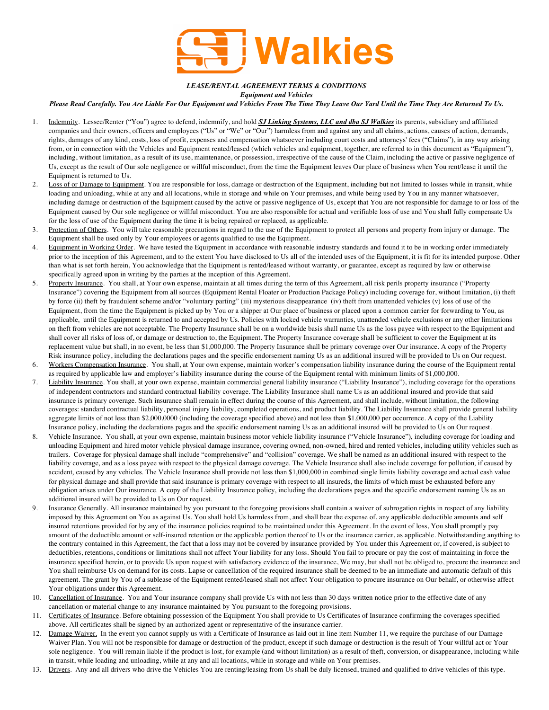

*LEASE/RENTAL AGREEMENT TERMS & CONDITIONS*

*Equipment and Vehicles*

*Please Read Carefully. You Are Liable For Our Equipment and Vehicles From The Time They Leave Our Yard Until the Time They Are Returned To Us.*

- 1. Indemnity. Lessee/Renter ("You") agree to defend, indemnify, and hold *SJ Linking Systems, LLC and dba SJ Walkies* its parents, subsidiary and affiliated companies and their owners, officers and employees ("Us" or "We" or "Our") harmless from and against any and all claims, actions, causes of action, demands, rights, damages of any kind, costs, loss of profit, expenses and compensation whatsoever including court costs and attorneys' fees ("Claims"), in any way arising from, or in connection with the Vehicles and Equipment rented/leased (which vehicles and equipment, together, are referred to in this document as "Equipment"), including, without limitation, as a result of its use, maintenance, or possession, irrespective of the cause of the Claim, including the active or passive negligence of Us, except as the result of Our sole negligence or willful misconduct, from the time the Equipment leaves Our place of business when You rent/lease it until the Equipment is returned to Us.
- 2. Loss of or Damage to Equipment. You are responsible for loss, damage or destruction of the Equipment, including but not limited to losses while in transit, while loading and unloading, while at any and all locations, while in storage and while on Your premises, and while being used by You in any manner whatsoever, including damage or destruction of the Equipment caused by the active or passive negligence of Us, except that You are not responsible for damage to or loss of the Equipment caused by Our sole negligence or willful misconduct. You are also responsible for actual and verifiable loss of use and You shall fully compensate Us for the loss of use of the Equipment during the time it is being repaired or replaced, as applicable.
- 3. Protection of Others. You will take reasonable precautions in regard to the use of the Equipment to protect all persons and property from injury or damage. The Equipment shall be used only by Your employees or agents qualified to use the Equipment.
- 4. Equipment in Working Order. We have tested the Equipment in accordance with reasonable industry standards and found it to be in working order immediately prior to the inception of this Agreement, and to the extent You have disclosed to Us all of the intended uses of the Equipment, it is fit for its intended purpose. Other than what is set forth herein, You acknowledge that the Equipment is rented/leased without warranty, or guarantee, except as required by law or otherwise specifically agreed upon in writing by the parties at the inception of this Agreement.
- 5. Property Insurance. You shall, at Your own expense, maintain at all times during the term of this Agreement, all risk perils property insurance ("Property Insurance") covering the Equipment from all sources (Equipment Rental Floater or Production Package Policy) including coverage for, without limitation, (i) theft by force (ii) theft by fraudulent scheme and/or "voluntary parting" (iii) mysterious disappearance (iv) theft from unattended vehicles (v) loss of use of the Equipment, from the time the Equipment is picked up by You or a shipper at Our place of business or placed upon a common carrier for forwarding to You, as applicable, until the Equipment is returned to and accepted by Us. Policies with locked vehicle warranties, unattended vehicle exclusions or any other limitations on theft from vehicles are not acceptable. The Property Insurance shall be on a worldwide basis shall name Us as the loss payee with respect to the Equipment and shall cover all risks of loss of, or damage or destruction to, the Equipment. The Property Insurance coverage shall be sufficient to cover the Equipment at its replacement value but shall, in no event, be less than \$1,000,000. The Property Insurance shall be primary coverage over Our insurance. A copy of the Property Risk insurance policy, including the declarations pages and the specific endorsement naming Us as an additional insured will be provided to Us on Our request.
- 6. Workers Compensation Insurance. You shall, at Your own expense, maintain worker's compensation liability insurance during the course of the Equipment rental as required by applicable law and employer's liability insurance during the course of the Equipment rental with minimum limits of \$1,000,000.
- 7. Liability Insurance. You shall, at your own expense, maintain commercial general liability insurance ("Liability Insurance"), including coverage for the operations of independent contractors and standard contractual liability coverage. The Liability Insurance shall name Us as an additional insured and provide that said insurance is primary coverage. Such insurance shall remain in effect during the course of this Agreement, and shall include, without limitation, the following coverages: standard contractual liability, personal injury liability, completed operations, and product liability. The Liability Insurance shall provide general liability aggregate limits of not less than \$2,000,0000 (including the coverage specified above) and not less than \$1,000,000 per occurrence. A copy of the Liability Insurance policy, including the declarations pages and the specific endorsement naming Us as an additional insured will be provided to Us on Our request.
- 8. Vehicle Insurance. You shall, at your own expense, maintain business motor vehicle liability insurance ("Vehicle Insurance"), including coverage for loading and unloading Equipment and hired motor vehicle physical damage insurance, covering owned, non-owned, hired and rented vehicles, including utility vehicles such as trailers. Coverage for physical damage shall include "comprehensive" and "collision" coverage. We shall be named as an additional insured with respect to the liability coverage, and as a loss payee with respect to the physical damage coverage. The Vehicle Insurance shall also include coverage for pollution, if caused by accident, caused by any vehicles. The Vehicle Insurance shall provide not less than \$1,000,000 in combined single limits liability coverage and actual cash value for physical damage and shall provide that said insurance is primary coverage with respect to all insureds, the limits of which must be exhausted before any obligation arises under Our insurance. A copy of the Liability Insurance policy, including the declarations pages and the specific endorsement naming Us as an additional insured will be provided to Us on Our request.
- 9. Insurance Generally. All insurance maintained by you pursuant to the foregoing provisions shall contain a waiver of subrogation rights in respect of any liability imposed by this Agreement on You as against Us. You shall hold Us harmless from, and shall bear the expense of, any applicable deductible amounts and self insured retentions provided for by any of the insurance policies required to be maintained under this Agreement. In the event of loss, You shall promptly pay amount of the deductible amount or self-insured retention or the applicable portion thereof to Us or the insurance carrier, as applicable. Notwithstanding anything to the contrary contained in this Agreement, the fact that a loss may not be covered by insurance provided by You under this Agreement or, if covered, is subject to deductibles, retentions, conditions or limitations shall not affect Your liability for any loss. Should You fail to procure or pay the cost of maintaining in force the insurance specified herein, or to provide Us upon request with satisfactory evidence of the insurance, We may, but shall not be obliged to, procure the insurance and You shall reimburse Us on demand for its costs. Lapse or cancellation of the required insurance shall be deemed to be an immediate and automatic default of this agreement. The grant by You of a sublease of the Equipment rented/leased shall not affect Your obligation to procure insurance on Our behalf, or otherwise affect Your obligations under this Agreement.
- 10. Cancellation of Insurance. You and Your insurance company shall provide Us with not less than 30 days written notice prior to the effective date of any cancellation or material change to any insurance maintained by You pursuant to the foregoing provisions.
- 11. Certificates of Insurance. Before obtaining possession of the Equipment You shall provide to Us Certificates of Insurance confirming the coverages specified above. All certificates shall be signed by an authorized agent or representative of the insurance carrier.
- 12. Damage Waiver. In the event you cannot supply us with a Certificate of Insurance as laid out in line item Number 11, we require the purchase of our Damage Waiver Plan. You will not be responsible for damage or destruction of the product, except if such damage or destruction is the result of Your willful act or Your sole negligence. You will remain liable if the product is lost, for example (and without limitation) as a result of theft, conversion, or disappearance, including while in transit, while loading and unloading, while at any and all locations, while in storage and while on Your premises.
- 13. Drivers. Any and all drivers who drive the Vehicles You are renting/leasing from Us shall be duly licensed, trained and qualified to drive vehicles of this type.